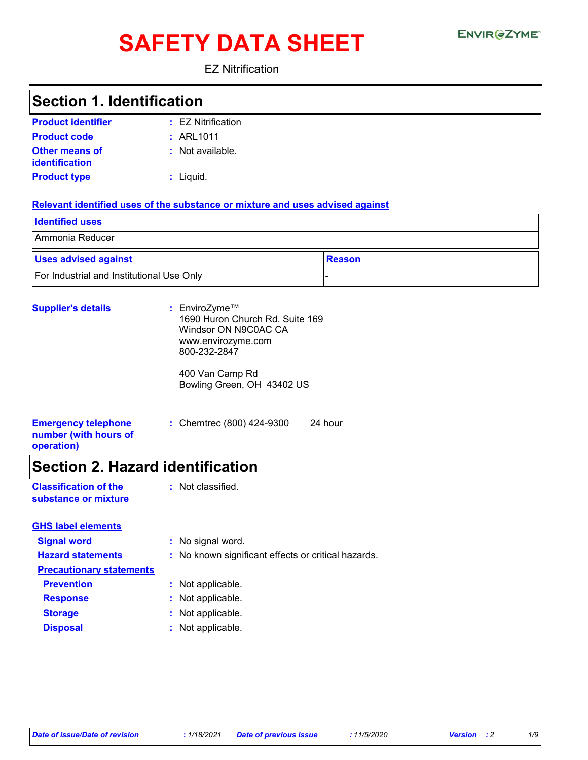# SAFETY DATA SHEET ENVIRGETMEN

EZ Nitrification

### **Section 1. Identification**

| <b>Product identifier</b>               | $\pm$ EZ Nitrification |
|-----------------------------------------|------------------------|
| <b>Product code</b>                     | : ARL1011              |
| <b>Other means of</b><br>identification | : Not available.       |
| <b>Product type</b>                     | : Liquid.              |

#### **Relevant identified uses of the substance or mixture and uses advised against**

| <b>Identified uses</b>                    |               |
|-------------------------------------------|---------------|
| Ammonia Reducer                           |               |
| <b>Uses advised against</b>               | <b>Reason</b> |
| For Industrial and Institutional Use Only |               |

| <b>Supplier's details</b>                                         | : EnviroZyme™<br>1690 Huron Church Rd. Suite 169<br>Windsor ON N9C0AC CA<br>www.envirozyme.com<br>800-232-2847 |  |
|-------------------------------------------------------------------|----------------------------------------------------------------------------------------------------------------|--|
|                                                                   | 400 Van Camp Rd<br>Bowling Green, OH 43402 US                                                                  |  |
| <b>Emergency telephone</b><br>number (with hours of<br>operation) | : Chemtrec $(800)$ 424-9300<br>24 hour                                                                         |  |

### **Section 2. Hazard identification**

| <b>Classification of the</b> | : Not classified. |
|------------------------------|-------------------|
| substance or mixture         |                   |

| <b>GHS label elements</b>       |                                                     |
|---------------------------------|-----------------------------------------------------|
| <b>Signal word</b>              | : No signal word.                                   |
| <b>Hazard statements</b>        | : No known significant effects or critical hazards. |
| <b>Precautionary statements</b> |                                                     |
| <b>Prevention</b>               | : Not applicable.                                   |
| <b>Response</b>                 | : Not applicable.                                   |
| <b>Storage</b>                  | : Not applicable.                                   |
| <b>Disposal</b>                 | : Not applicable.                                   |
|                                 |                                                     |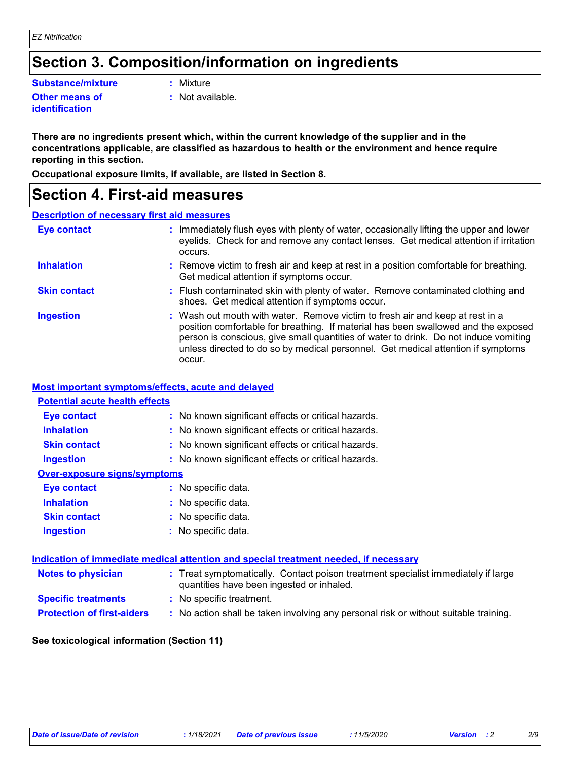### **Section 3. Composition/information on ingredients**

**Substance/mixture :**

**Other means of identification**

Mixture

**:** Not available.

**There are no ingredients present which, within the current knowledge of the supplier and in the concentrations applicable, are classified as hazardous to health or the environment and hence require reporting in this section.**

**Occupational exposure limits, if available, are listed in Section 8.**

### **Section 4. First-aid measures**

#### **Description of necessary first aid measures**

| <b>Eye contact</b>  | : Immediately flush eyes with plenty of water, occasionally lifting the upper and lower<br>eyelids. Check for and remove any contact lenses. Get medical attention if irritation<br>occurs.                                                                                                                                                               |
|---------------------|-----------------------------------------------------------------------------------------------------------------------------------------------------------------------------------------------------------------------------------------------------------------------------------------------------------------------------------------------------------|
| <b>Inhalation</b>   | : Remove victim to fresh air and keep at rest in a position comfortable for breathing.<br>Get medical attention if symptoms occur.                                                                                                                                                                                                                        |
| <b>Skin contact</b> | : Flush contaminated skin with plenty of water. Remove contaminated clothing and<br>shoes. Get medical attention if symptoms occur.                                                                                                                                                                                                                       |
| <b>Ingestion</b>    | : Wash out mouth with water. Remove victim to fresh air and keep at rest in a<br>position comfortable for breathing. If material has been swallowed and the exposed<br>person is conscious, give small quantities of water to drink. Do not induce vomiting<br>unless directed to do so by medical personnel. Get medical attention if symptoms<br>occur. |

#### **Most important symptoms/effects, acute and delayed**

| <b>Potential acute health effects</b>                                                |                                                                                                                                |  |  |
|--------------------------------------------------------------------------------------|--------------------------------------------------------------------------------------------------------------------------------|--|--|
| <b>Eye contact</b>                                                                   | : No known significant effects or critical hazards.                                                                            |  |  |
| <b>Inhalation</b>                                                                    | : No known significant effects or critical hazards.                                                                            |  |  |
| <b>Skin contact</b>                                                                  | : No known significant effects or critical hazards.                                                                            |  |  |
| <b>Ingestion</b>                                                                     | : No known significant effects or critical hazards.                                                                            |  |  |
| <b>Over-exposure signs/symptoms</b>                                                  |                                                                                                                                |  |  |
| Eye contact                                                                          | : No specific data.                                                                                                            |  |  |
| <b>Inhalation</b>                                                                    | : No specific data.                                                                                                            |  |  |
| <b>Skin contact</b>                                                                  | : No specific data.                                                                                                            |  |  |
| <b>Ingestion</b>                                                                     | : No specific data.                                                                                                            |  |  |
| Indication of immediate medical attention and special treatment needed, if necessary |                                                                                                                                |  |  |
| <b>Notes to physician</b>                                                            | : Treat symptomatically. Contact poison treatment specialist immediately if large<br>quantities have been ingested or inhaled. |  |  |
| <b>Specific treatments</b>                                                           | : No specific treatment.                                                                                                       |  |  |
| <b>Protection of first-aiders</b>                                                    | : No action shall be taken involving any personal risk or without suitable training.                                           |  |  |

#### **See toxicological information (Section 11)**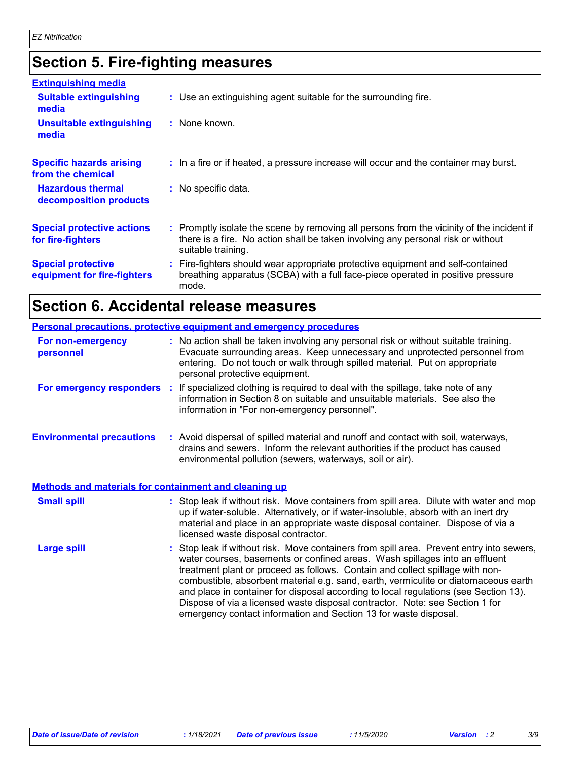## **Section 5. Fire-fighting measures**

| <b>Extinguishing media</b>                               |                                                                                                                                                                                                     |
|----------------------------------------------------------|-----------------------------------------------------------------------------------------------------------------------------------------------------------------------------------------------------|
| <b>Suitable extinguishing</b><br>media                   | : Use an extinguishing agent suitable for the surrounding fire.                                                                                                                                     |
| <b>Unsuitable extinguishing</b><br>media                 | : None known.                                                                                                                                                                                       |
| <b>Specific hazards arising</b><br>from the chemical     | : In a fire or if heated, a pressure increase will occur and the container may burst.                                                                                                               |
| <b>Hazardous thermal</b><br>decomposition products       | : No specific data.                                                                                                                                                                                 |
| <b>Special protective actions</b><br>for fire-fighters   | : Promptly isolate the scene by removing all persons from the vicinity of the incident if<br>there is a fire. No action shall be taken involving any personal risk or without<br>suitable training. |
| <b>Special protective</b><br>equipment for fire-fighters | : Fire-fighters should wear appropriate protective equipment and self-contained<br>breathing apparatus (SCBA) with a full face-piece operated in positive pressure<br>mode.                         |

# **Section 6. Accidental release measures**

|                                                              | <b>Personal precautions, protective equipment and emergency procedures</b>                                                                                                                                                                                                                                                                                                                                                                                                                                                                                                                  |
|--------------------------------------------------------------|---------------------------------------------------------------------------------------------------------------------------------------------------------------------------------------------------------------------------------------------------------------------------------------------------------------------------------------------------------------------------------------------------------------------------------------------------------------------------------------------------------------------------------------------------------------------------------------------|
| For non-emergency<br>personnel                               | : No action shall be taken involving any personal risk or without suitable training.<br>Evacuate surrounding areas. Keep unnecessary and unprotected personnel from<br>entering. Do not touch or walk through spilled material. Put on appropriate<br>personal protective equipment.                                                                                                                                                                                                                                                                                                        |
|                                                              | For emergency responders : If specialized clothing is required to deal with the spillage, take note of any<br>information in Section 8 on suitable and unsuitable materials. See also the<br>information in "For non-emergency personnel".                                                                                                                                                                                                                                                                                                                                                  |
| <b>Environmental precautions</b>                             | : Avoid dispersal of spilled material and runoff and contact with soil, waterways,<br>drains and sewers. Inform the relevant authorities if the product has caused<br>environmental pollution (sewers, waterways, soil or air).                                                                                                                                                                                                                                                                                                                                                             |
| <b>Methods and materials for containment and cleaning up</b> |                                                                                                                                                                                                                                                                                                                                                                                                                                                                                                                                                                                             |
| <b>Small spill</b>                                           | : Stop leak if without risk. Move containers from spill area. Dilute with water and mop<br>up if water-soluble. Alternatively, or if water-insoluble, absorb with an inert dry<br>material and place in an appropriate waste disposal container. Dispose of via a<br>licensed waste disposal contractor.                                                                                                                                                                                                                                                                                    |
| <b>Large spill</b>                                           | : Stop leak if without risk. Move containers from spill area. Prevent entry into sewers,<br>water courses, basements or confined areas. Wash spillages into an effluent<br>treatment plant or proceed as follows. Contain and collect spillage with non-<br>combustible, absorbent material e.g. sand, earth, vermiculite or diatomaceous earth<br>and place in container for disposal according to local regulations (see Section 13).<br>Dispose of via a licensed waste disposal contractor. Note: see Section 1 for<br>emergency contact information and Section 13 for waste disposal. |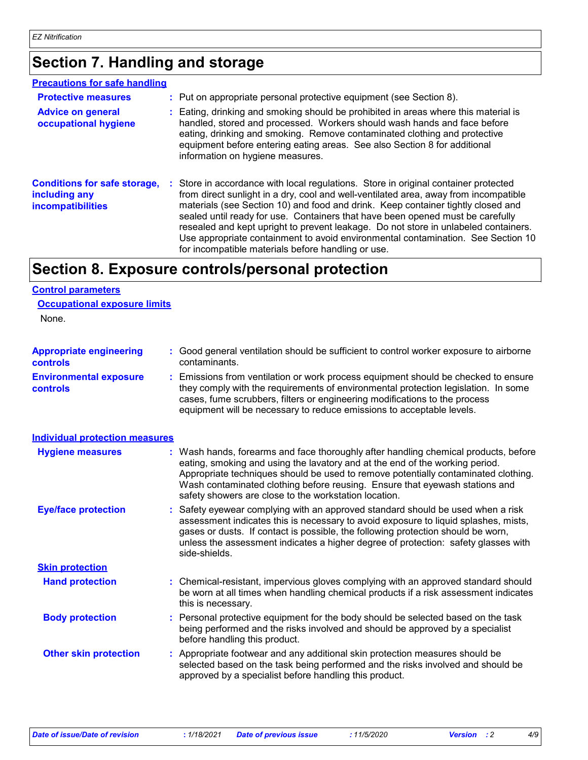### **Section 7. Handling and storage**

#### **Precautions for safe handling**

| <b>Protective measures</b><br><b>Advice on general</b><br>occupational hygiene   | : Put on appropriate personal protective equipment (see Section 8).<br>: Eating, drinking and smoking should be prohibited in areas where this material is<br>handled, stored and processed. Workers should wash hands and face before<br>eating, drinking and smoking. Remove contaminated clothing and protective<br>equipment before entering eating areas. See also Section 8 for additional<br>information on hygiene measures.                                                                                                                                               |
|----------------------------------------------------------------------------------|------------------------------------------------------------------------------------------------------------------------------------------------------------------------------------------------------------------------------------------------------------------------------------------------------------------------------------------------------------------------------------------------------------------------------------------------------------------------------------------------------------------------------------------------------------------------------------|
| <b>Conditions for safe storage,</b><br>including any<br><b>incompatibilities</b> | : Store in accordance with local regulations. Store in original container protected<br>from direct sunlight in a dry, cool and well-ventilated area, away from incompatible<br>materials (see Section 10) and food and drink. Keep container tightly closed and<br>sealed until ready for use. Containers that have been opened must be carefully<br>resealed and kept upright to prevent leakage. Do not store in unlabeled containers.<br>Use appropriate containment to avoid environmental contamination. See Section 10<br>for incompatible materials before handling or use. |

### **Section 8. Exposure controls/personal protection**

#### **Control parameters**

| <b>Occupational exposure limits</b> |  |  |
|-------------------------------------|--|--|
|                                     |  |  |

None.

| <b>Appropriate engineering</b><br><b>controls</b> | : Good general ventilation should be sufficient to control worker exposure to airborne<br>contaminants.                                                                                                                                                                                                                                                                                           |
|---------------------------------------------------|---------------------------------------------------------------------------------------------------------------------------------------------------------------------------------------------------------------------------------------------------------------------------------------------------------------------------------------------------------------------------------------------------|
| <b>Environmental exposure</b><br><b>controls</b>  | : Emissions from ventilation or work process equipment should be checked to ensure<br>they comply with the requirements of environmental protection legislation. In some<br>cases, fume scrubbers, filters or engineering modifications to the process<br>equipment will be necessary to reduce emissions to acceptable levels.                                                                   |
| <b>Individual protection measures</b>             |                                                                                                                                                                                                                                                                                                                                                                                                   |
| <b>Hygiene measures</b>                           | : Wash hands, forearms and face thoroughly after handling chemical products, before<br>eating, smoking and using the lavatory and at the end of the working period.<br>Appropriate techniques should be used to remove potentially contaminated clothing.<br>Wash contaminated clothing before reusing. Ensure that eyewash stations and<br>safety showers are close to the workstation location. |
| <b>Eye/face protection</b>                        | : Safety eyewear complying with an approved standard should be used when a risk<br>assessment indicates this is necessary to avoid exposure to liquid splashes, mists,<br>gases or dusts. If contact is possible, the following protection should be worn,<br>unless the assessment indicates a higher degree of protection: safety glasses with<br>side-shields.                                 |
| <b>Skin protection</b>                            |                                                                                                                                                                                                                                                                                                                                                                                                   |
| <b>Hand protection</b>                            | : Chemical-resistant, impervious gloves complying with an approved standard should<br>be worn at all times when handling chemical products if a risk assessment indicates<br>this is necessary.                                                                                                                                                                                                   |
| <b>Body protection</b>                            | : Personal protective equipment for the body should be selected based on the task<br>being performed and the risks involved and should be approved by a specialist<br>before handling this product.                                                                                                                                                                                               |
| <b>Other skin protection</b>                      | : Appropriate footwear and any additional skin protection measures should be<br>selected based on the task being performed and the risks involved and should be<br>approved by a specialist before handling this product.                                                                                                                                                                         |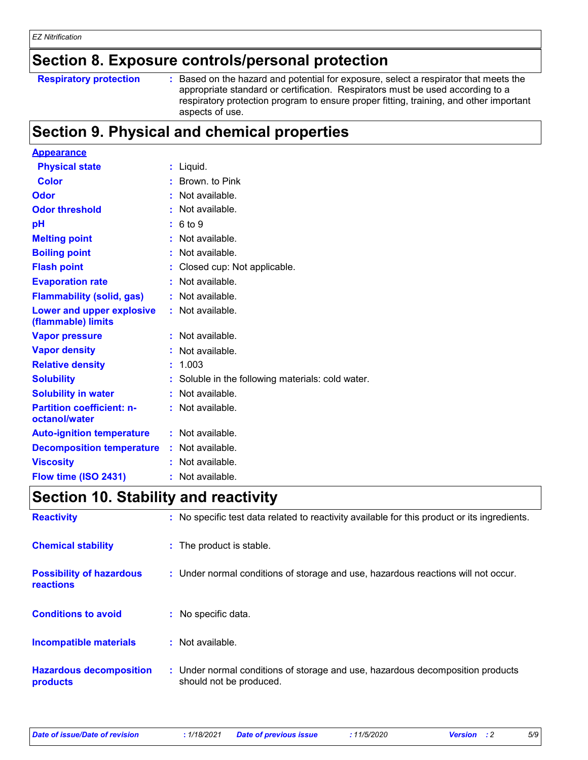### **Section 8. Exposure controls/personal protection**

#### **Respiratory protection :**

Based on the hazard and potential for exposure, select a respirator that meets the appropriate standard or certification. Respirators must be used according to a respiratory protection program to ensure proper fitting, training, and other important aspects of use.

### **Section 9. Physical and chemical properties**

| <b>Appearance</b>                                      |                                                   |
|--------------------------------------------------------|---------------------------------------------------|
| <b>Physical state</b>                                  | : Liquid.                                         |
| <b>Color</b>                                           | : Brown, to Pink                                  |
| Odor                                                   | $:$ Not available.                                |
| <b>Odor threshold</b>                                  | : Not available.                                  |
| рH                                                     | 6 to 9                                            |
| <b>Melting point</b>                                   | Not available.                                    |
| <b>Boiling point</b>                                   | Not available.                                    |
| <b>Flash point</b>                                     | Closed cup: Not applicable.                       |
| <b>Evaporation rate</b>                                | Not available.                                    |
| <b>Flammability (solid, gas)</b>                       | Not available.                                    |
| <b>Lower and upper explosive</b><br>(flammable) limits | $:$ Not available.                                |
| <b>Vapor pressure</b>                                  | Not available.                                    |
| <b>Vapor density</b>                                   | Not available.                                    |
| <b>Relative density</b>                                | 1.003                                             |
| <b>Solubility</b>                                      | : Soluble in the following materials: cold water. |
| <b>Solubility in water</b>                             | Not available.                                    |
| <b>Partition coefficient: n-</b><br>octanol/water      | Not available.                                    |
| <b>Auto-ignition temperature</b>                       | $:$ Not available.                                |
| <b>Decomposition temperature</b>                       | Not available.                                    |
| <b>Viscosity</b>                                       | Not available.                                    |
| Flow time (ISO 2431)                                   | $:$ Not available.                                |

### **Section 10. Stability and reactivity**

| <b>Reactivity</b>                            | : No specific test data related to reactivity available for this product or its ingredients.              |
|----------------------------------------------|-----------------------------------------------------------------------------------------------------------|
| <b>Chemical stability</b>                    | : The product is stable.                                                                                  |
| <b>Possibility of hazardous</b><br>reactions | : Under normal conditions of storage and use, hazardous reactions will not occur.                         |
| <b>Conditions to avoid</b>                   | : No specific data.                                                                                       |
| <b>Incompatible materials</b>                | $\therefore$ Not available.                                                                               |
| <b>Hazardous decomposition</b><br>products   | : Under normal conditions of storage and use, hazardous decomposition products<br>should not be produced. |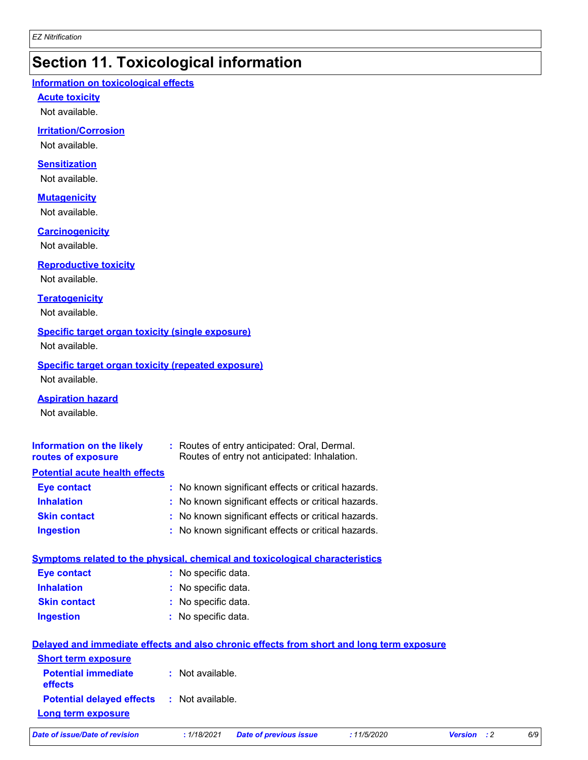### **Section 11. Toxicological information**

#### **Information on toxicological effects**

#### **Acute toxicity**

Not available.

#### **Irritation/Corrosion**

Not available.

#### **Sensitization**

Not available.

#### **Mutagenicity**

Not available.

#### **Carcinogenicity**

Not available.

#### **Reproductive toxicity**

Not available.

#### **Teratogenicity**

Not available.

#### **Specific target organ toxicity (single exposure)**

Not available.

### **Specific target organ toxicity (repeated exposure)**

Not available.

#### **Aspiration hazard**

Not available.

| <b>Information on the likely</b><br>routes of exposure | : Routes of entry anticipated: Oral, Dermal.<br>Routes of entry not anticipated: Inhalation. |
|--------------------------------------------------------|----------------------------------------------------------------------------------------------|
| <b>Potential acute health effects</b>                  |                                                                                              |
| <b>Eye contact</b>                                     | : No known significant effects or critical hazards.                                          |
| <b>Inhalation</b>                                      | : No known significant effects or critical hazards.                                          |
| <b>Skin contact</b>                                    | : No known significant effects or critical hazards.                                          |
| <b>Ingestion</b>                                       | : No known significant effects or critical hazards.                                          |

#### **Symptoms related to the physical, chemical and toxicological characteristics Eye contact :** No specific data.

| <b>Lyc contact</b>  | . TVO SPECING UGIA. |
|---------------------|---------------------|
| <b>Inhalation</b>   | : No specific data. |
| <b>Skin contact</b> | : No specific data. |
| <b>Ingestion</b>    | : No specific data. |

| Delayed and immediate effects and also chronic effects from short and long term exposure |                  |  |  |
|------------------------------------------------------------------------------------------|------------------|--|--|
| <b>Short term exposure</b>                                                               |                  |  |  |
| <b>Potential immediate</b><br><b>effects</b>                                             | : Not available. |  |  |
| <b>Potential delayed effects : Not available.</b><br>Long term exposure                  |                  |  |  |

*Date of issue/Date of revision* **:** *1/18/2021 Date of previous issue : 11/5/2020 Version : 2 6/9*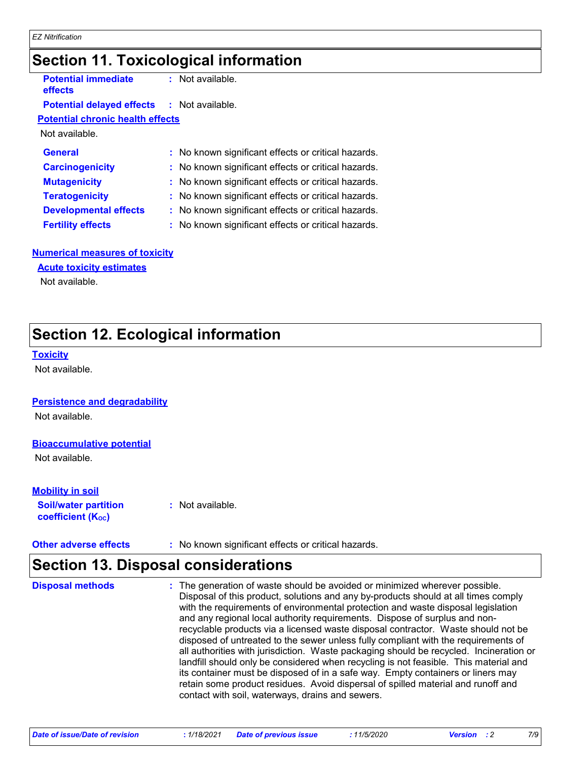### **Section 11. Toxicological information**

| <b>Potential immediate</b><br><b>effects</b>      | $:$ Not available.                                  |
|---------------------------------------------------|-----------------------------------------------------|
| <b>Potential delayed effects : Not available.</b> |                                                     |
| <b>Potential chronic health effects</b>           |                                                     |
| Not available.                                    |                                                     |
| <b>General</b>                                    | : No known significant effects or critical hazards. |
| <b>Carcinogenicity</b>                            | : No known significant effects or critical hazards. |
| <b>Mutagenicity</b>                               | : No known significant effects or critical hazards. |
| <b>Teratogenicity</b>                             | : No known significant effects or critical hazards. |
| <b>Developmental effects</b>                      | : No known significant effects or critical hazards. |
| <b>Fertility effects</b>                          | : No known significant effects or critical hazards. |
|                                                   |                                                     |

#### **Numerical measures of toxicity**

**Acute toxicity estimates**

Not available.

### **Section 12. Ecological information**

#### **Toxicity**

Not available.

#### **Persistence and degradability**

Not available.

#### **Bioaccumulative potential**

Not available.

#### **Mobility in soil**

**Soil/water partition coefficient (KOC)**

**:** Not available.

#### **Other adverse effects :** No known significant effects or critical hazards.

### **Section 13. Disposal considerations**

: The generation of waste should be avoided or minimized wherever possible. Disposal of this product, solutions and any by-products should at all times comply with the requirements of environmental protection and waste disposal legislation and any regional local authority requirements. Dispose of surplus and nonrecyclable products via a licensed waste disposal contractor. Waste should not be disposed of untreated to the sewer unless fully compliant with the requirements of all authorities with jurisdiction. Waste packaging should be recycled. Incineration or landfill should only be considered when recycling is not feasible. This material and its container must be disposed of in a safe way. Empty containers or liners may retain some product residues. Avoid dispersal of spilled material and runoff and contact with soil, waterways, drains and sewers. **Disposal methods :**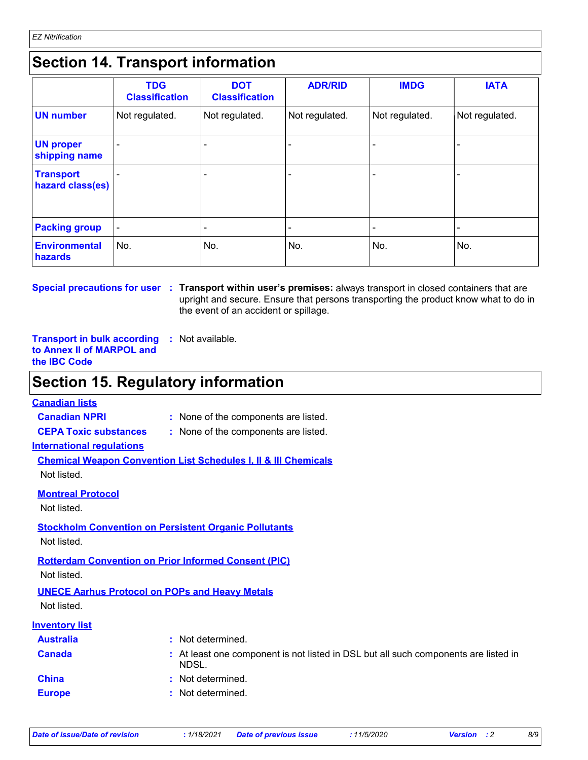### **Section 14. Transport information**

|                                      | <b>TDG</b><br><b>Classification</b> | <b>DOT</b><br><b>Classification</b> | <b>ADR/RID</b> | <b>IMDG</b>    | <b>IATA</b>    |
|--------------------------------------|-------------------------------------|-------------------------------------|----------------|----------------|----------------|
| <b>UN number</b>                     | Not regulated.                      | Not regulated.                      | Not regulated. | Not regulated. | Not regulated. |
| <b>UN proper</b><br>shipping name    |                                     | ٠                                   | ٠              |                |                |
| <b>Transport</b><br>hazard class(es) |                                     |                                     |                |                |                |
| <b>Packing group</b>                 |                                     |                                     |                |                |                |
| <b>Environmental</b><br>hazards      | No.                                 | No.                                 | No.            | No.            | No.            |

**Special precautions for user Transport within user's premises:** always transport in closed containers that are **:** upright and secure. Ensure that persons transporting the product know what to do in the event of an accident or spillage.

**Transport in bulk according :** Not available. **to Annex II of MARPOL and the IBC Code**

### **Section 15. Regulatory information**

#### **Canadian lists**

**Canadian NPRI :** None of the components are listed.

**CEPA Toxic substances :** None of the components are listed.

**International regulations**

**Chemical Weapon Convention List Schedules I, II & III Chemicals** Not listed.

| ו שטג וואנכט.                           |                                                                                              |
|-----------------------------------------|----------------------------------------------------------------------------------------------|
| <b>Montreal Protocol</b><br>Not listed. |                                                                                              |
| Not listed.                             | <b>Stockholm Convention on Persistent Organic Pollutants</b>                                 |
|                                         | <b>Rotterdam Convention on Prior Informed Consent (PIC)</b>                                  |
| Not listed.                             |                                                                                              |
|                                         | <b>UNECE Aarhus Protocol on POPs and Heavy Metals</b>                                        |
| Not listed.                             |                                                                                              |
| <b>Inventory list</b>                   |                                                                                              |
| <b>Australia</b>                        | : Not determined.                                                                            |
| <b>Canada</b>                           | : At least one component is not listed in DSL but all such components are listed in<br>NDSL. |
| <b>China</b>                            | : Not determined.                                                                            |
| <b>Europe</b>                           | : Not determined.                                                                            |